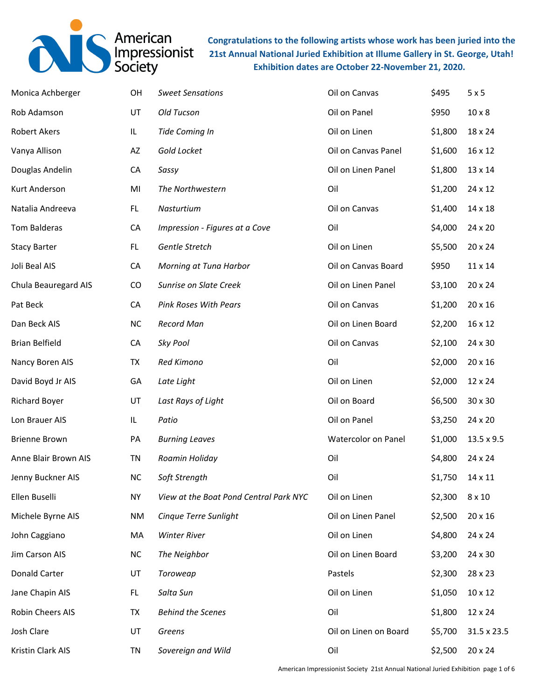

**Congratulations to the following artists whose work has been juried into the 21st Annual National Juried Exhibition at Illume Gallery in St. George, Utah! Exhibition dates are October 22-November 21, 2020.**

| Monica Achberger      | OH        | <b>Sweet Sensations</b>                | Oil on Canvas         | \$495   | 5x5           |
|-----------------------|-----------|----------------------------------------|-----------------------|---------|---------------|
| Rob Adamson           | UT        | Old Tucson                             | Oil on Panel          | \$950   | $10 \times 8$ |
| <b>Robert Akers</b>   | IL        | Tide Coming In                         | Oil on Linen          | \$1,800 | 18 x 24       |
| Vanya Allison         | AZ        | Gold Locket                            | Oil on Canvas Panel   | \$1,600 | 16 x 12       |
| Douglas Andelin       | CA        | Sassy                                  | Oil on Linen Panel    | \$1,800 | 13 x 14       |
| Kurt Anderson         | MI        | The Northwestern                       | Oil                   | \$1,200 | 24 x 12       |
| Natalia Andreeva      | FL.       | Nasturtium                             | Oil on Canvas         | \$1,400 | 14 x 18       |
| <b>Tom Balderas</b>   | CA        | Impression - Figures at a Cove         | Oil                   | \$4,000 | 24 x 20       |
| <b>Stacy Barter</b>   | FL.       | Gentle Stretch                         | Oil on Linen          | \$5,500 | 20 x 24       |
| Joli Beal AIS         | CA        | Morning at Tuna Harbor                 | Oil on Canvas Board   | \$950   | 11 x 14       |
| Chula Beauregard AIS  | CO        | Sunrise on Slate Creek                 | Oil on Linen Panel    | \$3,100 | 20 x 24       |
| Pat Beck              | CA        | <b>Pink Roses With Pears</b>           | Oil on Canvas         | \$1,200 | 20 x 16       |
| Dan Beck AIS          | <b>NC</b> | <b>Record Man</b>                      | Oil on Linen Board    | \$2,200 | 16 x 12       |
| <b>Brian Belfield</b> | CA        | Sky Pool                               | Oil on Canvas         | \$2,100 | 24 x 30       |
| Nancy Boren AIS       | TX        | Red Kimono                             | Oil                   | \$2,000 | 20 x 16       |
| David Boyd Jr AIS     | GA        | Late Light                             | Oil on Linen          | \$2,000 | 12 x 24       |
| <b>Richard Boyer</b>  | UT        | Last Rays of Light                     | Oil on Board          | \$6,500 | 30 x 30       |
| Lon Brauer AIS        | IL        | Patio                                  | Oil on Panel          | \$3,250 | 24 x 20       |
| <b>Brienne Brown</b>  | PA        | <b>Burning Leaves</b>                  | Watercolor on Panel   | \$1,000 | 13.5 x 9.5    |
| Anne Blair Brown AIS  | TN        | Roamin Holiday                         | Oil                   | \$4,800 | 24 x 24       |
| Jenny Buckner AIS     | NC        | Soft Strength                          | Oil                   | \$1,750 | 14 x 11       |
| Ellen Buselli         | <b>NY</b> | View at the Boat Pond Central Park NYC | Oil on Linen          | \$2,300 | $8 \times 10$ |
| Michele Byrne AIS     | NM        | Cinque Terre Sunlight                  | Oil on Linen Panel    | \$2,500 | 20 x 16       |
| John Caggiano         | МA        | <b>Winter River</b>                    | Oil on Linen          | \$4,800 | 24 x 24       |
| Jim Carson AIS        | <b>NC</b> | The Neighbor                           | Oil on Linen Board    | \$3,200 | 24 x 30       |
| <b>Donald Carter</b>  | UT        | Toroweap                               | Pastels               | \$2,300 | 28 x 23       |
| Jane Chapin AIS       | FL.       | Salta Sun                              | Oil on Linen          | \$1,050 | 10 x 12       |
| Robin Cheers AIS      | TX        | <b>Behind the Scenes</b>               | Oil                   | \$1,800 | 12 x 24       |
| Josh Clare            | UT        | Greens                                 | Oil on Linen on Board | \$5,700 | 31.5 x 23.5   |
| Kristin Clark AIS     | TN        | Sovereign and Wild                     | Oil                   | \$2,500 | 20 x 24       |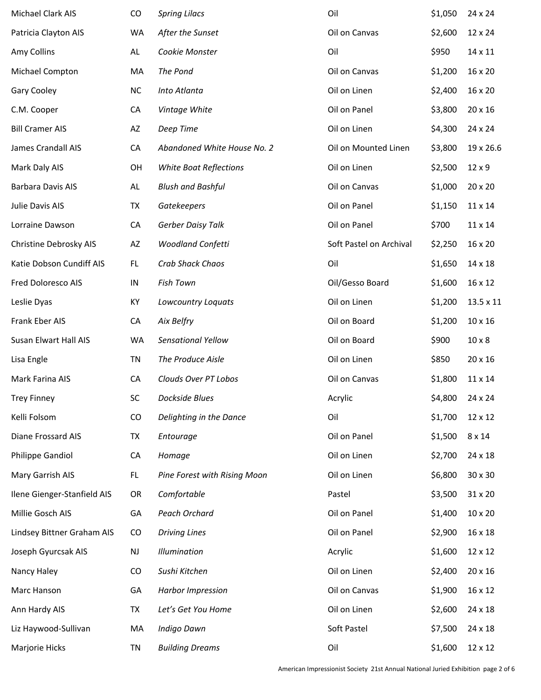| Michael Clark AIS           | CO            | <b>Spring Lilacs</b>          | Oil                     | \$1,050 | 24 x 24       |
|-----------------------------|---------------|-------------------------------|-------------------------|---------|---------------|
| Patricia Clayton AIS        | WA            | After the Sunset              | Oil on Canvas           | \$2,600 | 12 x 24       |
| Amy Collins                 | AL            | Cookie Monster                | Oil                     | \$950   | 14 x 11       |
| Michael Compton             | MA            | The Pond                      | Oil on Canvas           | \$1,200 | 16 x 20       |
| Gary Cooley                 | NC            | Into Atlanta                  | Oil on Linen            | \$2,400 | 16 x 20       |
| C.M. Cooper                 | CA            | Vintage White                 | Oil on Panel            | \$3,800 | 20 x 16       |
| <b>Bill Cramer AIS</b>      | AZ            | Deep Time                     | Oil on Linen            | \$4,300 | 24 x 24       |
| James Crandall AIS          | CA            | Abandoned White House No. 2   | Oil on Mounted Linen    | \$3,800 | 19 x 26.6     |
| Mark Daly AIS               | OH            | <b>White Boat Reflections</b> | Oil on Linen            | \$2,500 | 12 x 9        |
| <b>Barbara Davis AIS</b>    | AL            | <b>Blush and Bashful</b>      | Oil on Canvas           | \$1,000 | 20 x 20       |
| Julie Davis AIS             | TX            | Gatekeepers                   | Oil on Panel            | \$1,150 | 11 x 14       |
| Lorraine Dawson             | CA            | Gerber Daisy Talk             | Oil on Panel            | \$700   | 11 x 14       |
| Christine Debrosky AIS      | AZ            | Woodland Confetti             | Soft Pastel on Archival | \$2,250 | 16 x 20       |
| Katie Dobson Cundiff AIS    | FL.           | Crab Shack Chaos              | Oil                     | \$1,650 | 14 x 18       |
| Fred Doloresco AIS          | IN            | Fish Town                     | Oil/Gesso Board         | \$1,600 | 16 x 12       |
| Leslie Dyas                 | KY            | <b>Lowcountry Loquats</b>     | Oil on Linen            | \$1,200 | 13.5 x 11     |
| Frank Eber AIS              | CA            | Aix Belfry                    | Oil on Board            | \$1,200 | 10 x 16       |
| Susan Elwart Hall AIS       | WA            | Sensational Yellow            | Oil on Board            | \$900   | $10 \times 8$ |
| Lisa Engle                  | TN            | The Produce Aisle             | Oil on Linen            | \$850   | 20 x 16       |
| Mark Farina AIS             | CA            | Clouds Over PT Lobos          | Oil on Canvas           | \$1,800 | 11 x 14       |
| <b>Trey Finney</b>          | SC            | <b>Dockside Blues</b>         | Acrylic                 | \$4,800 | 24 x 24       |
| Kelli Folsom                | CO            | Delighting in the Dance       | Oil                     | \$1,700 | 12 x 12       |
| <b>Diane Frossard AIS</b>   | TX            | Entourage                     | Oil on Panel            | \$1,500 | 8 x 14        |
| Philippe Gandiol            | CA            | Homage                        | Oil on Linen            | \$2,700 | 24 x 18       |
| Mary Garrish AIS            | FL.           | Pine Forest with Rising Moon  | Oil on Linen            | \$6,800 | 30 x 30       |
| Ilene Gienger-Stanfield AIS | OR            | Comfortable                   | Pastel                  | \$3,500 | 31 x 20       |
| Millie Gosch AIS            | GA            | Peach Orchard                 | Oil on Panel            | \$1,400 | 10 x 20       |
| Lindsey Bittner Graham AIS  | CO            | <b>Driving Lines</b>          | Oil on Panel            | \$2,900 | 16 x 18       |
| Joseph Gyurcsak AIS         | $\mathsf{NJ}$ | <b>Illumination</b>           | Acrylic                 | \$1,600 | 12 x 12       |
| Nancy Haley                 | CO            | Sushi Kitchen                 | Oil on Linen            | \$2,400 | 20 x 16       |
| Marc Hanson                 | GA            | <b>Harbor Impression</b>      | Oil on Canvas           | \$1,900 | 16 x 12       |
| Ann Hardy AIS               | TX            | Let's Get You Home            | Oil on Linen            | \$2,600 | 24 x 18       |
| Liz Haywood-Sullivan        | MA            | Indigo Dawn                   | Soft Pastel             | \$7,500 | 24 x 18       |
| Marjorie Hicks              | TN            | <b>Building Dreams</b>        | Oil                     | \$1,600 | 12 x 12       |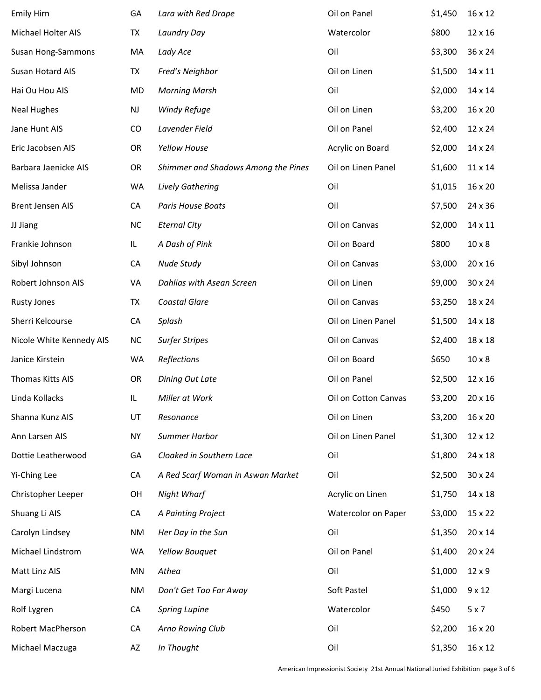| <b>Emily Hirn</b>        | GA        | Lara with Red Drape                 | Oil on Panel         | \$1,450 | 16 x 12       |
|--------------------------|-----------|-------------------------------------|----------------------|---------|---------------|
| Michael Holter AIS       | TX        | Laundry Day                         | Watercolor           | \$800   | 12 x 16       |
| Susan Hong-Sammons       | MA        | Lady Ace                            | Oil                  | \$3,300 | 36 x 24       |
| Susan Hotard AIS         | TX        | Fred's Neighbor                     | Oil on Linen         | \$1,500 | 14 x 11       |
| Hai Ou Hou AIS           | MD        | <b>Morning Marsh</b>                | Oil                  | \$2,000 | 14 x 14       |
| <b>Neal Hughes</b>       | NJ        | Windy Refuge                        | Oil on Linen         | \$3,200 | 16 x 20       |
| Jane Hunt AIS            | CO        | Lavender Field                      | Oil on Panel         | \$2,400 | 12 x 24       |
| Eric Jacobsen AIS        | OR        | Yellow House                        | Acrylic on Board     | \$2,000 | 14 x 24       |
| Barbara Jaenicke AIS     | OR        | Shimmer and Shadows Among the Pines | Oil on Linen Panel   | \$1,600 | 11 x 14       |
| Melissa Jander           | WA        | Lively Gathering                    | Oil                  | \$1,015 | 16 x 20       |
| <b>Brent Jensen AIS</b>  | CA        | Paris House Boats                   | Oil                  | \$7,500 | 24 x 36       |
| JJ Jiang                 | <b>NC</b> | <b>Eternal City</b>                 | Oil on Canvas        | \$2,000 | 14 x 11       |
| Frankie Johnson          | IL        | A Dash of Pink                      | Oil on Board         | \$800   | $10 \times 8$ |
| Sibyl Johnson            | CA        | Nude Study                          | Oil on Canvas        | \$3,000 | 20 x 16       |
| Robert Johnson AIS       | VA        | Dahlias with Asean Screen           | Oil on Linen         | \$9,000 | 30 x 24       |
| <b>Rusty Jones</b>       | TX        | Coastal Glare                       | Oil on Canvas        | \$3,250 | 18 x 24       |
| Sherri Kelcourse         | CA        | Splash                              | Oil on Linen Panel   | \$1,500 | 14 x 18       |
| Nicole White Kennedy AIS | <b>NC</b> | <b>Surfer Stripes</b>               | Oil on Canvas        | \$2,400 | 18 x 18       |
| Janice Kirstein          | <b>WA</b> | Reflections                         | Oil on Board         | \$650   | $10 \times 8$ |
| Thomas Kitts AIS         | OR        | Dining Out Late                     | Oil on Panel         | \$2,500 | 12 x 16       |
| Linda Kollacks           | IL        | Miller at Work                      | Oil on Cotton Canvas | \$3,200 | 20 x 16       |
| Shanna Kunz AIS          | UT        | Resonance                           | Oil on Linen         | \$3,200 | 16 x 20       |
| Ann Larsen AIS           | <b>NY</b> | Summer Harbor                       | Oil on Linen Panel   | \$1,300 | 12 x 12       |
| Dottie Leatherwood       | GA        | Cloaked in Southern Lace            | Oil                  | \$1,800 | 24 x 18       |
| Yi-Ching Lee             | CA        | A Red Scarf Woman in Aswan Market   | Oil                  | \$2,500 | 30 x 24       |
| Christopher Leeper       | OH        | Night Wharf                         | Acrylic on Linen     | \$1,750 | 14 x 18       |
| Shuang Li AIS            | CA        | A Painting Project                  | Watercolor on Paper  | \$3,000 | 15 x 22       |
| Carolyn Lindsey          | ΝM        | Her Day in the Sun                  | Oil                  | \$1,350 | 20 x 14       |
| Michael Lindstrom        | WA        | Yellow Bouquet                      | Oil on Panel         | \$1,400 | 20 x 24       |
| Matt Linz AIS            | MN        | Athea                               | Oil                  | \$1,000 | $12 \times 9$ |
| Margi Lucena             | ΝM        | Don't Get Too Far Away              | Soft Pastel          | \$1,000 | $9 \times 12$ |
| Rolf Lygren              | CA        | <b>Spring Lupine</b>                | Watercolor           | \$450   | $5 \times 7$  |
| <b>Robert MacPherson</b> | CA        | Arno Rowing Club                    | Oil                  | \$2,200 | 16 x 20       |
| Michael Maczuga          | AZ        | In Thought                          | Oil                  | \$1,350 | 16 x 12       |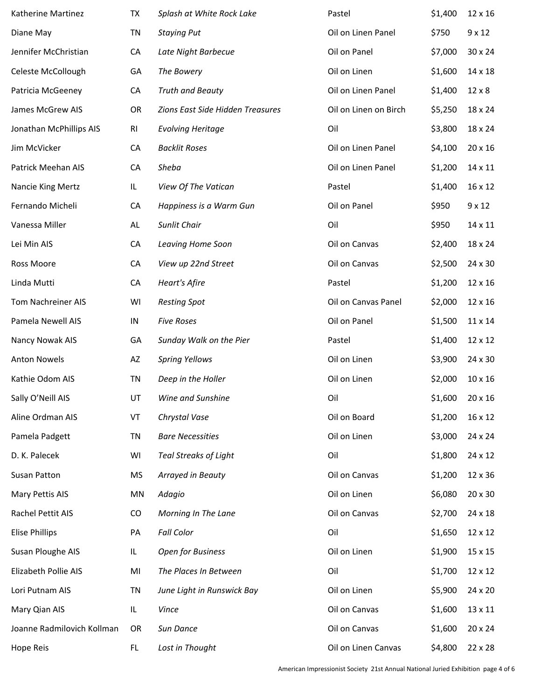| Katherine Martinez         | TX        | Splash at White Rock Lake        | Pastel                | \$1,400 | 12 x 16       |
|----------------------------|-----------|----------------------------------|-----------------------|---------|---------------|
| Diane May                  | TN        | <b>Staying Put</b>               | Oil on Linen Panel    | \$750   | $9 \times 12$ |
| Jennifer McChristian       | CA        | Late Night Barbecue              | Oil on Panel          | \$7,000 | 30 x 24       |
| Celeste McCollough         | GA        | The Bowery                       | Oil on Linen          | \$1,600 | 14 x 18       |
| Patricia McGeeney          | CA        | <b>Truth and Beauty</b>          | Oil on Linen Panel    | \$1,400 | $12 \times 8$ |
| James McGrew AIS           | OR        | Zions East Side Hidden Treasures | Oil on Linen on Birch | \$5,250 | 18 x 24       |
| Jonathan McPhillips AIS    | RI        | <b>Evolving Heritage</b>         | Oil                   | \$3,800 | 18 x 24       |
| Jim McVicker               | CA        | <b>Backlit Roses</b>             | Oil on Linen Panel    | \$4,100 | 20 x 16       |
| Patrick Meehan AIS         | CA        | Sheba                            | Oil on Linen Panel    | \$1,200 | 14 x 11       |
| Nancie King Mertz          | IL        | View Of The Vatican              | Pastel                | \$1,400 | 16 x 12       |
| Fernando Micheli           | CA        | Happiness is a Warm Gun          | Oil on Panel          | \$950   | $9 \times 12$ |
| Vanessa Miller             | AL        | Sunlit Chair                     | Oil                   | \$950   | 14 x 11       |
| Lei Min AIS                | CA        | <b>Leaving Home Soon</b>         | Oil on Canvas         | \$2,400 | 18 x 24       |
| Ross Moore                 | CA        | View up 22nd Street              | Oil on Canvas         | \$2,500 | 24 x 30       |
| Linda Mutti                | CA        | <b>Heart's Afire</b>             | Pastel                | \$1,200 | 12 x 16       |
| Tom Nachreiner AIS         | WI        | <b>Resting Spot</b>              | Oil on Canvas Panel   | \$2,000 | 12 x 16       |
| Pamela Newell AIS          | IN        | <b>Five Roses</b>                | Oil on Panel          | \$1,500 | 11 x 14       |
| Nancy Nowak AIS            | GA        | Sunday Walk on the Pier          | Pastel                | \$1,400 | 12 x 12       |
| <b>Anton Nowels</b>        | AZ        | <b>Spring Yellows</b>            | Oil on Linen          | \$3,900 | 24 x 30       |
| Kathie Odom AIS            | TN        | Deep in the Holler               | Oil on Linen          | \$2,000 | 10 x 16       |
| Sally O'Neill AIS          | UT        | Wine and Sunshine                | Oil                   | \$1,600 | 20 x 16       |
| Aline Ordman AIS           | VT        | Chrystal Vase                    | Oil on Board          | \$1,200 | 16 x 12       |
| Pamela Padgett             | <b>TN</b> | <b>Bare Necessities</b>          | Oil on Linen          | \$3,000 | 24 x 24       |
| D. K. Palecek              | WI        | <b>Teal Streaks of Light</b>     | Oil                   | \$1,800 | 24 x 12       |
| Susan Patton               | <b>MS</b> | Arrayed in Beauty                | Oil on Canvas         | \$1,200 | 12 x 36       |
| Mary Pettis AIS            | MN        | Adagio                           | Oil on Linen          | \$6,080 | 20 x 30       |
| Rachel Pettit AIS          | CO        | Morning In The Lane              | Oil on Canvas         | \$2,700 | 24 x 18       |
| <b>Elise Phillips</b>      | PA        | <b>Fall Color</b>                | Oil                   | \$1,650 | 12 x 12       |
| Susan Ploughe AIS          | IL        | Open for Business                | Oil on Linen          | \$1,900 | 15 x 15       |
| Elizabeth Pollie AIS       | MI        | The Places In Between            | Oil                   | \$1,700 | 12 x 12       |
| Lori Putnam AIS            | TN        | June Light in Runswick Bay       | Oil on Linen          | \$5,900 | 24 x 20       |
| Mary Qian AIS              | IL        | Vince                            | Oil on Canvas         | \$1,600 | 13 x 11       |
| Joanne Radmilovich Kollman | OR        | Sun Dance                        | Oil on Canvas         | \$1,600 | 20 x 24       |
| Hope Reis                  | FL.       | Lost in Thought                  | Oil on Linen Canvas   | \$4,800 | 22 x 28       |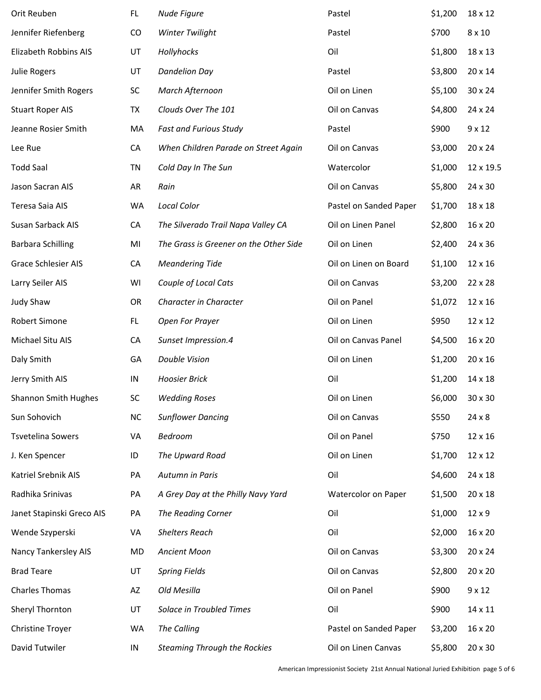| Orit Reuben                 | FL.       | Nude Figure                            | Pastel                 | \$1,200 | 18 x 12       |
|-----------------------------|-----------|----------------------------------------|------------------------|---------|---------------|
| Jennifer Riefenberg         | CO        | Winter Twilight                        | Pastel                 | \$700   | $8 \times 10$ |
| Elizabeth Robbins AIS       | UT        | Hollyhocks                             | Oil                    | \$1,800 | 18 x 13       |
| <b>Julie Rogers</b>         | UT        | <b>Dandelion Day</b>                   | Pastel                 | \$3,800 | 20 x 14       |
| Jennifer Smith Rogers       | SC        | March Afternoon                        | Oil on Linen           | \$5,100 | 30 x 24       |
| <b>Stuart Roper AIS</b>     | TX        | Clouds Over The 101                    | Oil on Canvas          | \$4,800 | 24 x 24       |
| Jeanne Rosier Smith         | MA        | <b>Fast and Furious Study</b>          | Pastel                 | \$900   | $9 \times 12$ |
| Lee Rue                     | CA        | When Children Parade on Street Again   | Oil on Canvas          | \$3,000 | 20 x 24       |
| <b>Todd Saal</b>            | TN        | Cold Day In The Sun                    | Watercolor             | \$1,000 | 12 x 19.5     |
| Jason Sacran AIS            | AR        | Rain                                   | Oil on Canvas          | \$5,800 | 24 x 30       |
| Teresa Saia AIS             | WA        | <b>Local Color</b>                     | Pastel on Sanded Paper | \$1,700 | 18 x 18       |
| Susan Sarback AIS           | CA        | The Silverado Trail Napa Valley CA     | Oil on Linen Panel     | \$2,800 | 16 x 20       |
| <b>Barbara Schilling</b>    | MI        | The Grass is Greener on the Other Side | Oil on Linen           | \$2,400 | 24 x 36       |
| <b>Grace Schlesier AIS</b>  | CA        | <b>Meandering Tide</b>                 | Oil on Linen on Board  | \$1,100 | 12 x 16       |
| Larry Seiler AIS            | WI        | Couple of Local Cats                   | Oil on Canvas          | \$3,200 | 22 x 28       |
| <b>Judy Shaw</b>            | OR        | Character in Character                 | Oil on Panel           | \$1,072 | 12 x 16       |
| Robert Simone               | FL.       | Open For Prayer                        | Oil on Linen           | \$950   | 12 x 12       |
| Michael Situ AIS            | CA        | Sunset Impression.4                    | Oil on Canvas Panel    | \$4,500 | 16 x 20       |
| Daly Smith                  | GA        | Double Vision                          | Oil on Linen           | \$1,200 | 20 x 16       |
| Jerry Smith AIS             | IN        | <b>Hoosier Brick</b>                   | Oil                    | \$1,200 | 14 x 18       |
| <b>Shannon Smith Hughes</b> | SC        | <b>Wedding Roses</b>                   | Oil on Linen           | \$6,000 | 30 x 30       |
| Sun Sohovich                | <b>NC</b> | <b>Sunflower Dancing</b>               | Oil on Canvas          | \$550   | $24 \times 8$ |
| <b>Tsvetelina Sowers</b>    | VA        | Bedroom                                | Oil on Panel           | \$750   | 12 x 16       |
| J. Ken Spencer              | ID        | The Upward Road                        | Oil on Linen           | \$1,700 | 12 x 12       |
| Katriel Srebnik AIS         | PA        | Autumn in Paris                        | Oil                    | \$4,600 | 24 x 18       |
| Radhika Srinivas            | PA        | A Grey Day at the Philly Navy Yard     | Watercolor on Paper    | \$1,500 | 20 x 18       |
| Janet Stapinski Greco AIS   | PA        | The Reading Corner                     | Oil                    | \$1,000 | 12 x 9        |
| Wende Szyperski             | VA        | <b>Shelters Reach</b>                  | Oil                    | \$2,000 | 16 x 20       |
| Nancy Tankersley AIS        | MD        | Ancient Moon                           | Oil on Canvas          | \$3,300 | 20 x 24       |
| <b>Brad Teare</b>           | UT        | <b>Spring Fields</b>                   | Oil on Canvas          | \$2,800 | 20 x 20       |
| <b>Charles Thomas</b>       | AZ        | Old Mesilla                            | Oil on Panel           | \$900   | $9 \times 12$ |
| Sheryl Thornton             | UT        | Solace in Troubled Times               | Oil                    | \$900   | 14 x 11       |
| Christine Troyer            | WA        | The Calling                            | Pastel on Sanded Paper | \$3,200 | 16 x 20       |
| David Tutwiler              | IN        | <b>Steaming Through the Rockies</b>    | Oil on Linen Canvas    | \$5,800 | 20 x 30       |